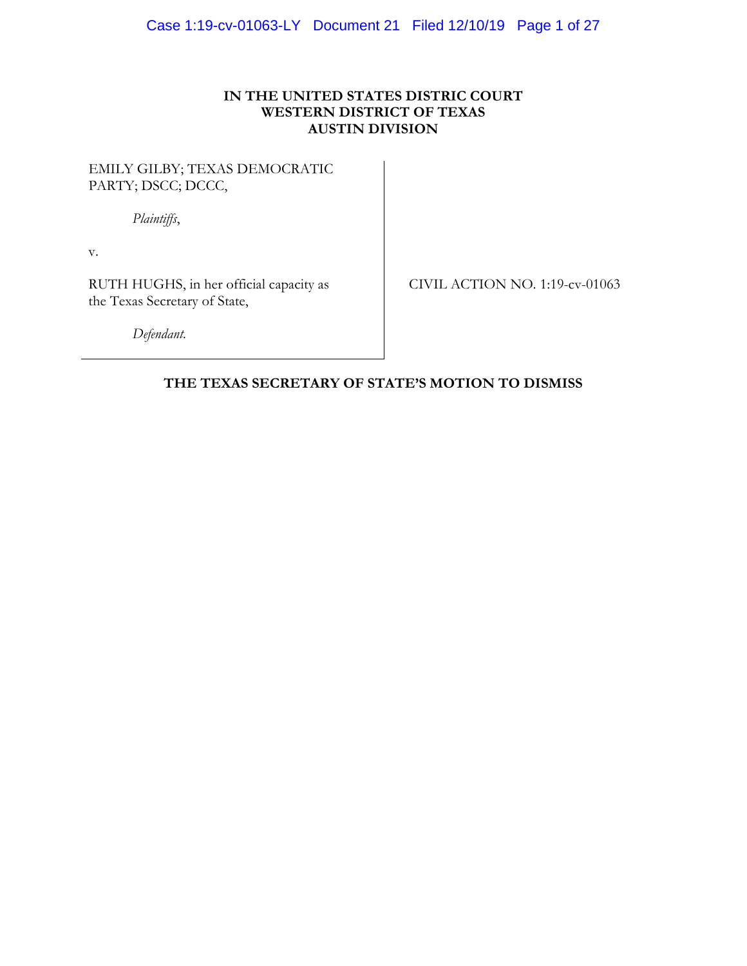# **IN THE UNITED STATES DISTRIC COURT WESTERN DISTRICT OF TEXAS AUSTIN DIVISION**

# EMILY GILBY; TEXAS DEMOCRATIC PARTY; DSCC; DCCC,

*Plaintiffs*,

v.

RUTH HUGHS, in her official capacity as the Texas Secretary of State,

CIVIL ACTION NO. 1:19-cv-01063

*Defendant.*

# **THE TEXAS SECRETARY OF STATE'S MOTION TO DISMISS**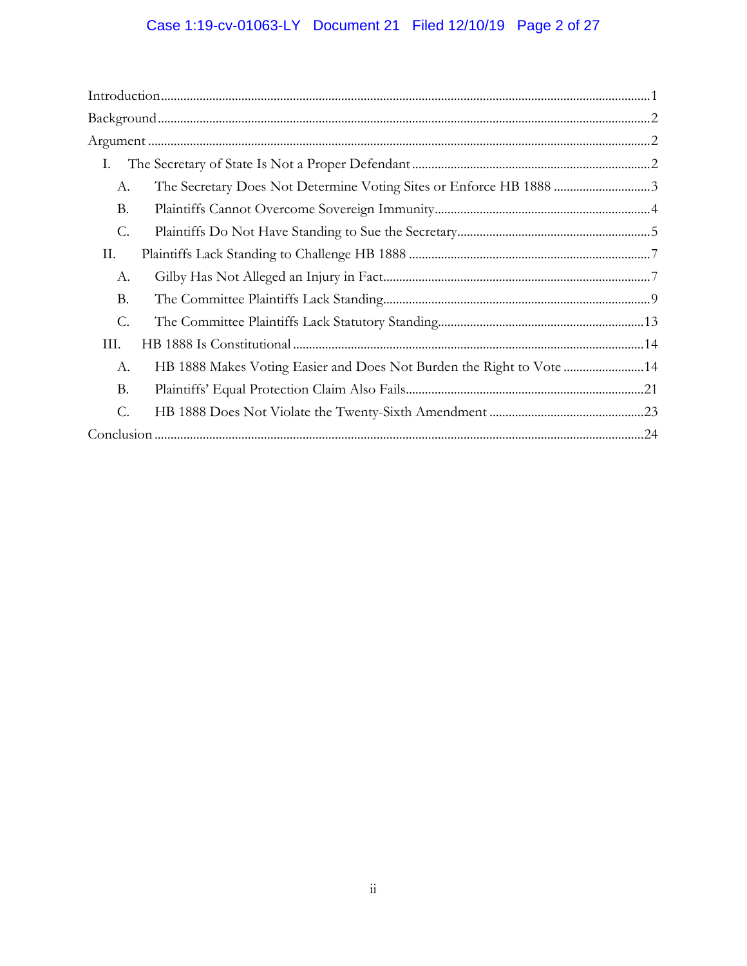# Case 1:19-cv-01063-LY Document 21 Filed 12/10/19 Page 2 of 27

| Ι.              |  |  |
|-----------------|--|--|
| A.              |  |  |
| В.              |  |  |
| $\mathcal{C}$ . |  |  |
| П.              |  |  |
| А.              |  |  |
| В.              |  |  |
| C.              |  |  |
| III.            |  |  |
| А.              |  |  |
| <b>B.</b>       |  |  |
| C.              |  |  |
|                 |  |  |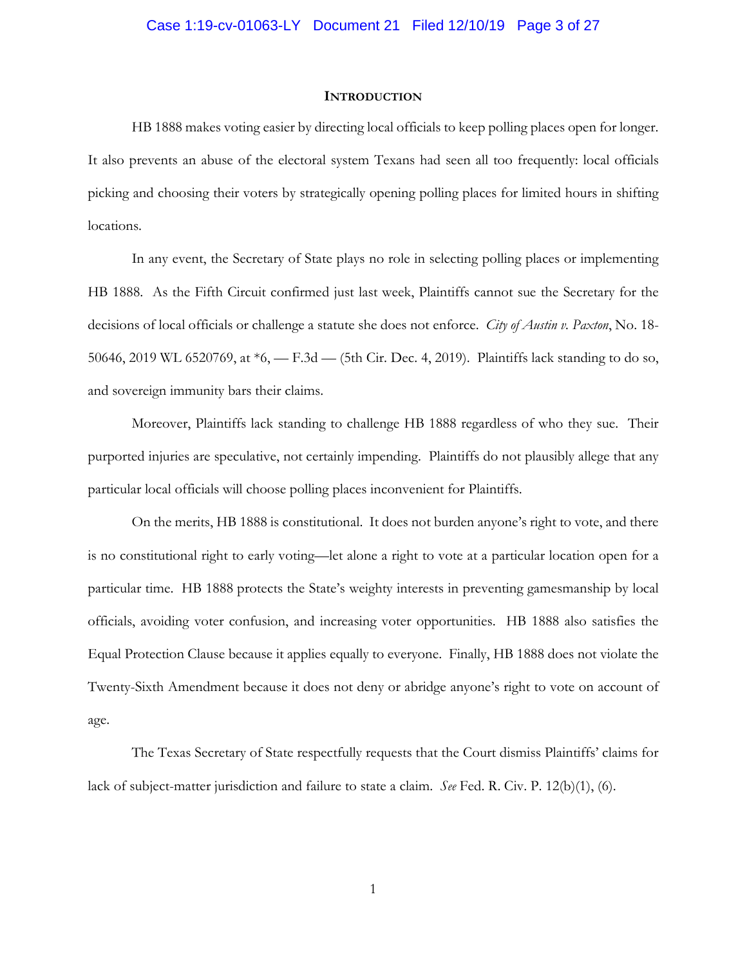#### **INTRODUCTION**

HB 1888 makes voting easier by directing local officials to keep polling places open for longer. It also prevents an abuse of the electoral system Texans had seen all too frequently: local officials picking and choosing their voters by strategically opening polling places for limited hours in shifting locations.

In any event, the Secretary of State plays no role in selecting polling places or implementing HB 1888. As the Fifth Circuit confirmed just last week, Plaintiffs cannot sue the Secretary for the decisions of local officials or challenge a statute she does not enforce. *City of Austin v. Paxton*, No. 18- 50646, 2019 WL 6520769, at \*6, — F.3d — (5th Cir. Dec. 4, 2019). Plaintiffs lack standing to do so, and sovereign immunity bars their claims.

Moreover, Plaintiffs lack standing to challenge HB 1888 regardless of who they sue. Their purported injuries are speculative, not certainly impending. Plaintiffs do not plausibly allege that any particular local officials will choose polling places inconvenient for Plaintiffs.

On the merits, HB 1888 is constitutional. It does not burden anyone's right to vote, and there is no constitutional right to early voting—let alone a right to vote at a particular location open for a particular time. HB 1888 protects the State's weighty interests in preventing gamesmanship by local officials, avoiding voter confusion, and increasing voter opportunities. HB 1888 also satisfies the Equal Protection Clause because it applies equally to everyone. Finally, HB 1888 does not violate the Twenty-Sixth Amendment because it does not deny or abridge anyone's right to vote on account of age.

The Texas Secretary of State respectfully requests that the Court dismiss Plaintiffs' claims for lack of subject-matter jurisdiction and failure to state a claim. *See* Fed. R. Civ. P. 12(b)(1), (6).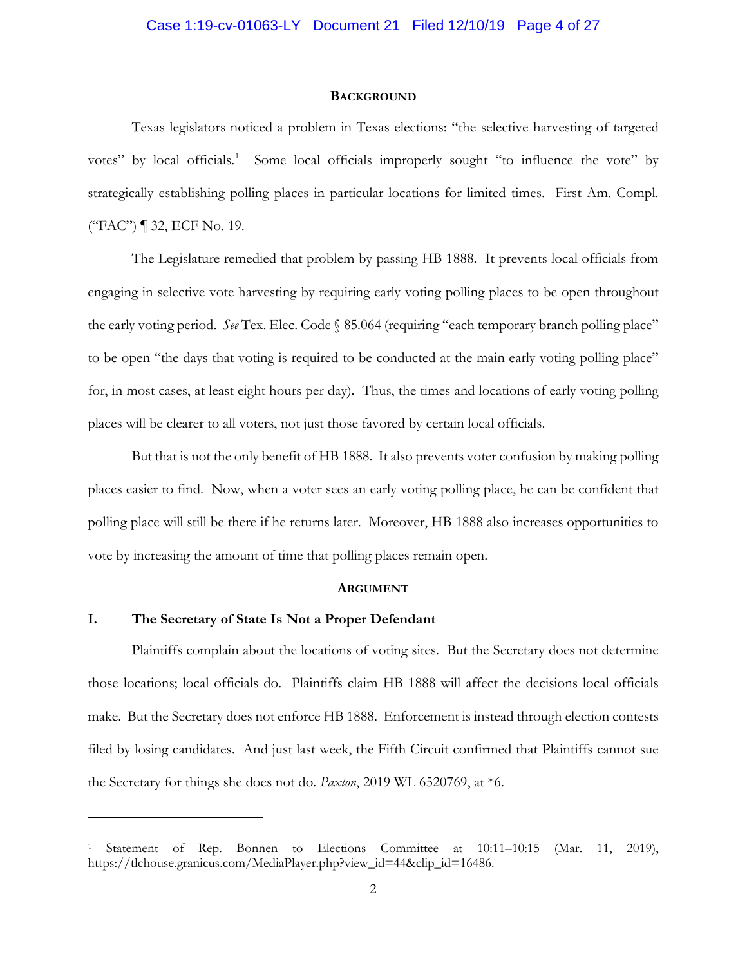#### **BACKGROUND**

Texas legislators noticed a problem in Texas elections: "the selective harvesting of targeted votes" by local officials.<sup>1</sup> Some local officials improperly sought "to influence the vote" by strategically establishing polling places in particular locations for limited times. First Am. Compl. ("FAC") ¶ 32, ECF No. 19.

The Legislature remedied that problem by passing HB 1888. It prevents local officials from engaging in selective vote harvesting by requiring early voting polling places to be open throughout the early voting period. *See* Tex. Elec. Code § 85.064 (requiring "each temporary branch polling place" to be open "the days that voting is required to be conducted at the main early voting polling place" for, in most cases, at least eight hours per day). Thus, the times and locations of early voting polling places will be clearer to all voters, not just those favored by certain local officials.

But that is not the only benefit of HB 1888. It also prevents voter confusion by making polling places easier to find. Now, when a voter sees an early voting polling place, he can be confident that polling place will still be there if he returns later. Moreover, HB 1888 also increases opportunities to vote by increasing the amount of time that polling places remain open.

#### **ARGUMENT**

# **I. The Secretary of State Is Not a Proper Defendant**

 $\overline{a}$ 

Plaintiffs complain about the locations of voting sites. But the Secretary does not determine those locations; local officials do. Plaintiffs claim HB 1888 will affect the decisions local officials make. But the Secretary does not enforce HB 1888. Enforcement is instead through election contests filed by losing candidates. And just last week, the Fifth Circuit confirmed that Plaintiffs cannot sue the Secretary for things she does not do. *Paxton*, 2019 WL 6520769, at \*6.

Statement of Rep. Bonnen to Elections Committee at 10:11–10:15 (Mar. 11, 2019), https://tlchouse.granicus.com/MediaPlayer.php?view\_id=44&clip\_id=16486.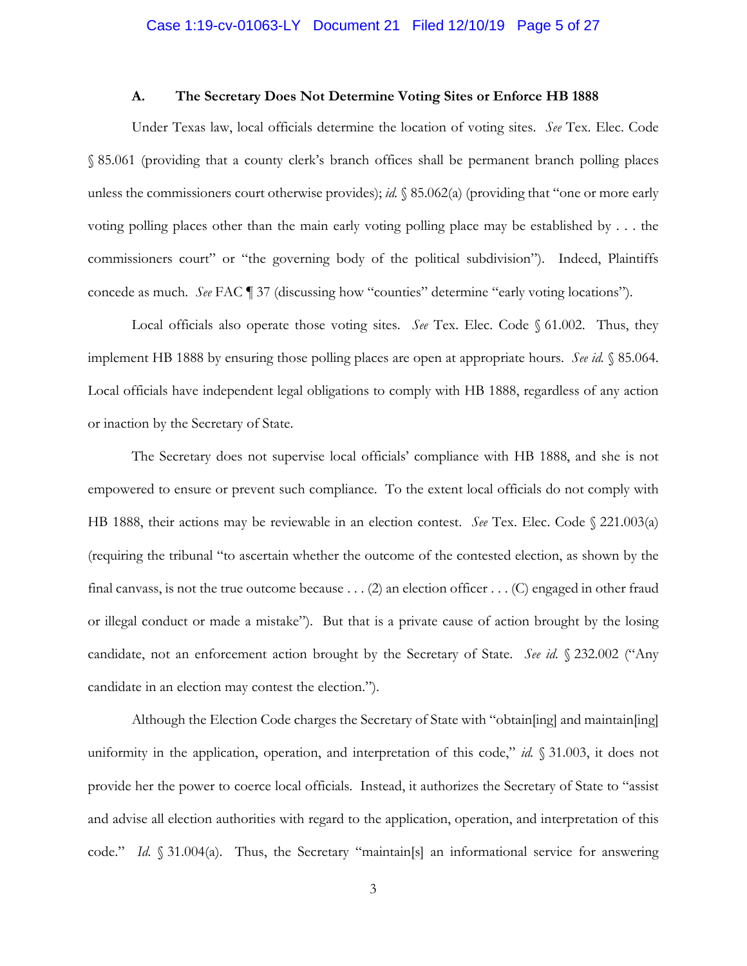# Case 1:19-cv-01063-LY Document 21 Filed 12/10/19 Page 5 of 27

#### **A. The Secretary Does Not Determine Voting Sites or Enforce HB 1888**

Under Texas law, local officials determine the location of voting sites. *See* Tex. Elec. Code § 85.061 (providing that a county clerk's branch offices shall be permanent branch polling places unless the commissioners court otherwise provides); *id.* § 85.062(a) (providing that "one or more early voting polling places other than the main early voting polling place may be established by . . . the commissioners court" or "the governing body of the political subdivision"). Indeed, Plaintiffs concede as much. *See* FAC ¶ 37 (discussing how "counties" determine "early voting locations").

Local officials also operate those voting sites. *See* Tex. Elec. Code § 61.002. Thus, they implement HB 1888 by ensuring those polling places are open at appropriate hours. *See id.* § 85.064. Local officials have independent legal obligations to comply with HB 1888, regardless of any action or inaction by the Secretary of State.

The Secretary does not supervise local officials' compliance with HB 1888, and she is not empowered to ensure or prevent such compliance. To the extent local officials do not comply with HB 1888, their actions may be reviewable in an election contest. *See* Tex. Elec. Code § 221.003(a) (requiring the tribunal "to ascertain whether the outcome of the contested election, as shown by the final canvass, is not the true outcome because . . . (2) an election officer . . . (C) engaged in other fraud or illegal conduct or made a mistake"). But that is a private cause of action brought by the losing candidate, not an enforcement action brought by the Secretary of State. *See id.* § 232.002 ("Any candidate in an election may contest the election.").

Although the Election Code charges the Secretary of State with "obtain[ing] and maintain[ing] uniformity in the application, operation, and interpretation of this code," *id.* § 31.003, it does not provide her the power to coerce local officials. Instead, it authorizes the Secretary of State to "assist and advise all election authorities with regard to the application, operation, and interpretation of this code." *Id.* § 31.004(a). Thus, the Secretary "maintain[s] an informational service for answering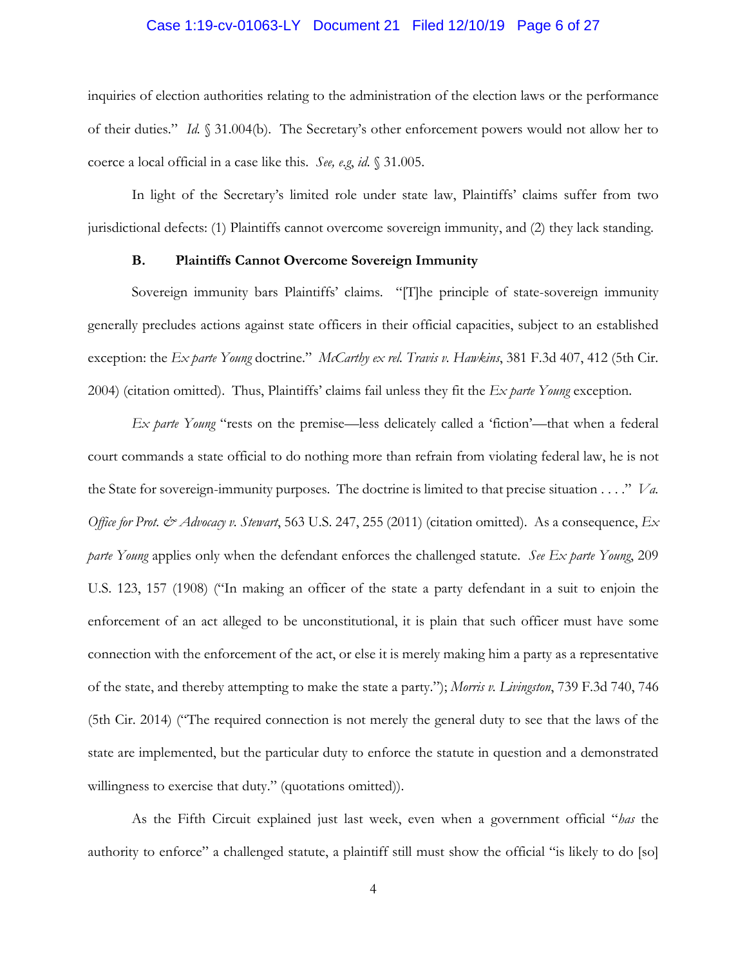#### Case 1:19-cv-01063-LY Document 21 Filed 12/10/19 Page 6 of 27

inquiries of election authorities relating to the administration of the election laws or the performance of their duties." *Id.* § 31.004(b). The Secretary's other enforcement powers would not allow her to coerce a local official in a case like this. *See, e.g*, *id.* § 31.005.

In light of the Secretary's limited role under state law, Plaintiffs' claims suffer from two jurisdictional defects: (1) Plaintiffs cannot overcome sovereign immunity, and (2) they lack standing.

# **B. Plaintiffs Cannot Overcome Sovereign Immunity**

Sovereign immunity bars Plaintiffs' claims. "[T]he principle of state-sovereign immunity generally precludes actions against state officers in their official capacities, subject to an established exception: the *Ex parte Young* doctrine." *McCarthy ex rel. Travis v. Hawkins*, 381 F.3d 407, 412 (5th Cir. 2004) (citation omitted). Thus, Plaintiffs' claims fail unless they fit the *Ex parte Young* exception.

*Ex parte Young* "rests on the premise—less delicately called a 'fiction'—that when a federal court commands a state official to do nothing more than refrain from violating federal law, he is not the State for sovereign-immunity purposes. The doctrine is limited to that precise situation . . . ." *Va. Office for Prot. & Advocacy v. Stewart*, 563 U.S. 247, 255 (2011) (citation omitted). As a consequence, *Ex parte Young* applies only when the defendant enforces the challenged statute. *See Ex parte Young*, 209 U.S. 123, 157 (1908) ("In making an officer of the state a party defendant in a suit to enjoin the enforcement of an act alleged to be unconstitutional, it is plain that such officer must have some connection with the enforcement of the act, or else it is merely making him a party as a representative of the state, and thereby attempting to make the state a party."); *Morris v. Livingston*, 739 F.3d 740, 746 (5th Cir. 2014) ("The required connection is not merely the general duty to see that the laws of the state are implemented, but the particular duty to enforce the statute in question and a demonstrated willingness to exercise that duty." (quotations omitted)).

As the Fifth Circuit explained just last week, even when a government official "*has* the authority to enforce" a challenged statute, a plaintiff still must show the official "is likely to do [so]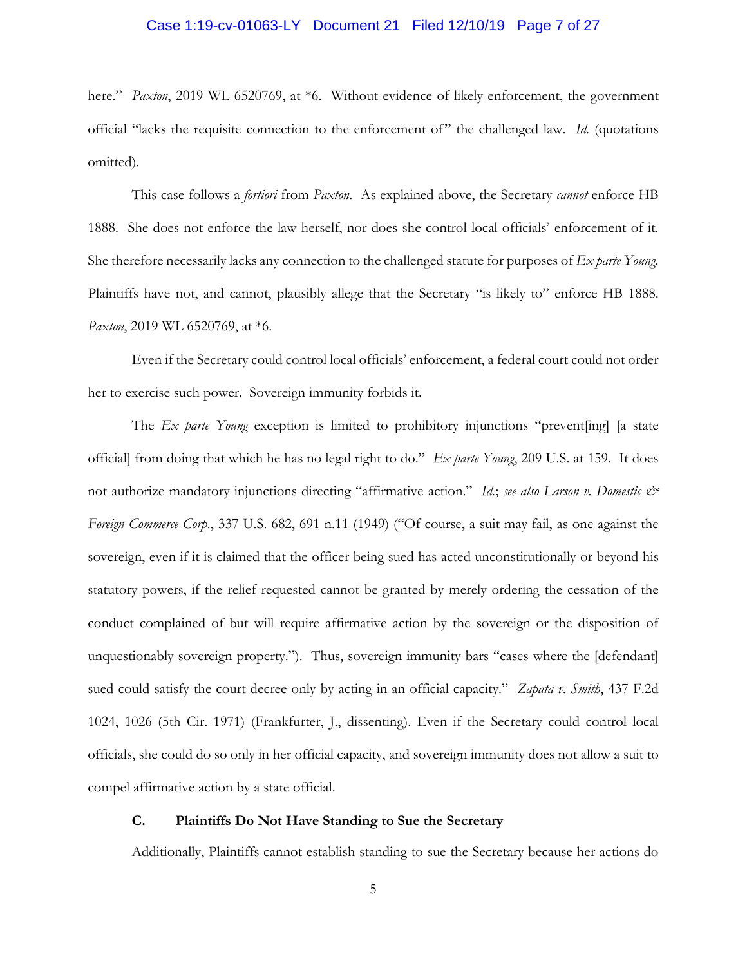#### Case 1:19-cv-01063-LY Document 21 Filed 12/10/19 Page 7 of 27

here." *Paxton*, 2019 WL 6520769, at \*6. Without evidence of likely enforcement, the government official "lacks the requisite connection to the enforcement of" the challenged law. *Id.* (quotations omitted).

This case follows a *fortiori* from *Paxton*. As explained above, the Secretary *cannot* enforce HB 1888. She does not enforce the law herself, nor does she control local officials' enforcement of it. She therefore necessarily lacks any connection to the challenged statute for purposes of *Ex parte Young*. Plaintiffs have not, and cannot, plausibly allege that the Secretary "is likely to" enforce HB 1888. *Paxton*, 2019 WL 6520769, at \*6.

Even if the Secretary could control local officials' enforcement, a federal court could not order her to exercise such power. Sovereign immunity forbids it.

The *Ex parte Young* exception is limited to prohibitory injunctions "prevent[ing] [a state official] from doing that which he has no legal right to do." *Ex parte Young*, 209 U.S. at 159. It does not authorize mandatory injunctions directing "affirmative action." *Id.*; *see also Larson v. Domestic & Foreign Commerce Corp.*, 337 U.S. 682, 691 n.11 (1949) ("Of course, a suit may fail, as one against the sovereign, even if it is claimed that the officer being sued has acted unconstitutionally or beyond his statutory powers, if the relief requested cannot be granted by merely ordering the cessation of the conduct complained of but will require affirmative action by the sovereign or the disposition of unquestionably sovereign property."). Thus, sovereign immunity bars "cases where the [defendant] sued could satisfy the court decree only by acting in an official capacity." *Zapata v. Smith*, 437 F.2d 1024, 1026 (5th Cir. 1971) (Frankfurter, J., dissenting). Even if the Secretary could control local officials, she could do so only in her official capacity, and sovereign immunity does not allow a suit to compel affirmative action by a state official.

# **C. Plaintiffs Do Not Have Standing to Sue the Secretary**

Additionally, Plaintiffs cannot establish standing to sue the Secretary because her actions do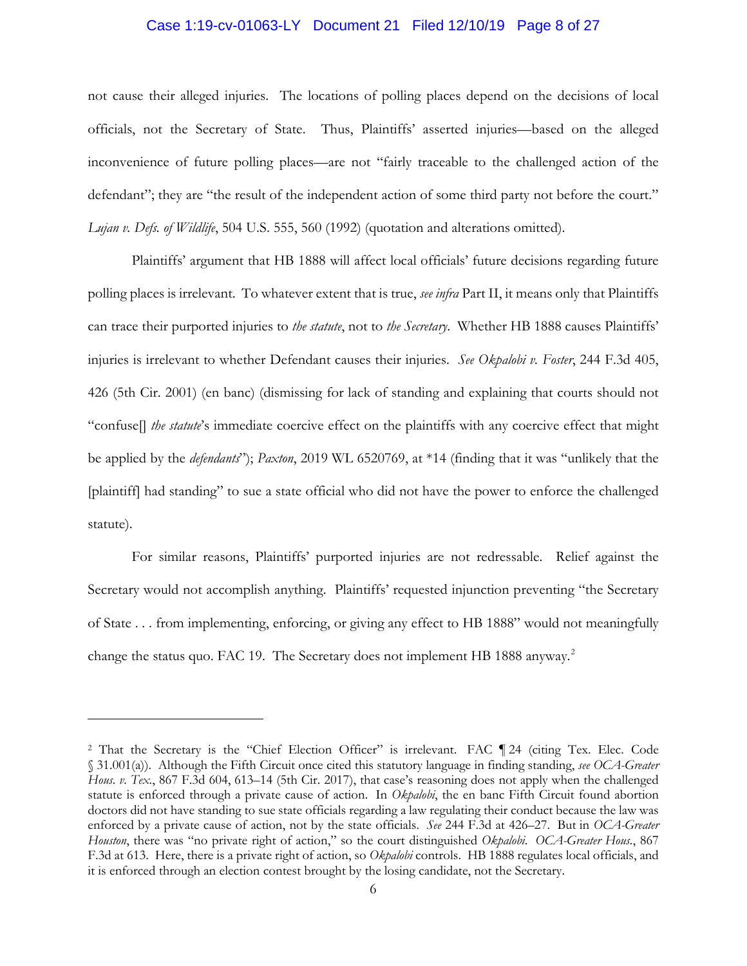#### Case 1:19-cv-01063-LY Document 21 Filed 12/10/19 Page 8 of 27

not cause their alleged injuries. The locations of polling places depend on the decisions of local officials, not the Secretary of State. Thus, Plaintiffs' asserted injuries—based on the alleged inconvenience of future polling places—are not "fairly traceable to the challenged action of the defendant"; they are "the result of the independent action of some third party not before the court." *Lujan v. Defs. of Wildlife*, 504 U.S. 555, 560 (1992) (quotation and alterations omitted).

Plaintiffs' argument that HB 1888 will affect local officials' future decisions regarding future polling places is irrelevant. To whatever extent that is true, *see infra* Part II, it means only that Plaintiffs can trace their purported injuries to *the statute*, not to *the Secretary*. Whether HB 1888 causes Plaintiffs' injuries is irrelevant to whether Defendant causes their injuries. *See Okpalobi v. Foster*, 244 F.3d 405, 426 (5th Cir. 2001) (en banc) (dismissing for lack of standing and explaining that courts should not "confuse[] *the statute*'s immediate coercive effect on the plaintiffs with any coercive effect that might be applied by the *defendants*"); *Paxton*, 2019 WL 6520769, at \*14 (finding that it was "unlikely that the [plaintiff] had standing" to sue a state official who did not have the power to enforce the challenged statute).

For similar reasons, Plaintiffs' purported injuries are not redressable. Relief against the Secretary would not accomplish anything. Plaintiffs' requested injunction preventing "the Secretary of State . . . from implementing, enforcing, or giving any effect to HB 1888" would not meaningfully change the status quo. FAC 19. The Secretary does not implement HB 1888 anyway.<sup>2</sup>

 $\overline{a}$ 

<sup>2</sup> That the Secretary is the "Chief Election Officer" is irrelevant. FAC ¶ 24 (citing Tex. Elec. Code § 31.001(a)). Although the Fifth Circuit once cited this statutory language in finding standing, *see OCA-Greater Hous. v. Tex.*, 867 F.3d 604, 613–14 (5th Cir. 2017), that case's reasoning does not apply when the challenged statute is enforced through a private cause of action. In *Okpalobi*, the en banc Fifth Circuit found abortion doctors did not have standing to sue state officials regarding a law regulating their conduct because the law was enforced by a private cause of action, not by the state officials. *See* 244 F.3d at 426–27. But in *OCA-Greater Houston*, there was "no private right of action," so the court distinguished *Okpalobi*. *OCA-Greater Hous.*, 867 F.3d at 613. Here, there is a private right of action, so *Okpalobi* controls. HB 1888 regulates local officials, and it is enforced through an election contest brought by the losing candidate, not the Secretary.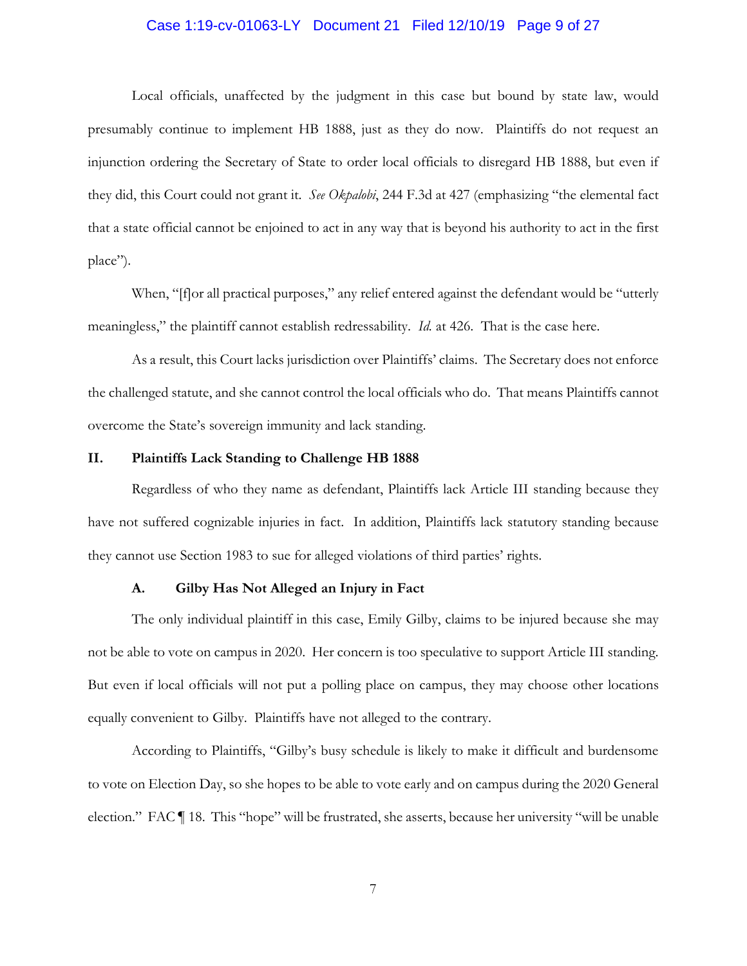#### Case 1:19-cv-01063-LY Document 21 Filed 12/10/19 Page 9 of 27

Local officials, unaffected by the judgment in this case but bound by state law, would presumably continue to implement HB 1888, just as they do now. Plaintiffs do not request an injunction ordering the Secretary of State to order local officials to disregard HB 1888, but even if they did, this Court could not grant it. *See Okpalobi*, 244 F.3d at 427 (emphasizing "the elemental fact that a state official cannot be enjoined to act in any way that is beyond his authority to act in the first place").

When, "[f]or all practical purposes," any relief entered against the defendant would be "utterly meaningless," the plaintiff cannot establish redressability. *Id.* at 426. That is the case here.

As a result, this Court lacks jurisdiction over Plaintiffs' claims. The Secretary does not enforce the challenged statute, and she cannot control the local officials who do. That means Plaintiffs cannot overcome the State's sovereign immunity and lack standing.

# **II. Plaintiffs Lack Standing to Challenge HB 1888**

Regardless of who they name as defendant, Plaintiffs lack Article III standing because they have not suffered cognizable injuries in fact. In addition, Plaintiffs lack statutory standing because they cannot use Section 1983 to sue for alleged violations of third parties' rights.

## **A. Gilby Has Not Alleged an Injury in Fact**

The only individual plaintiff in this case, Emily Gilby, claims to be injured because she may not be able to vote on campus in 2020. Her concern is too speculative to support Article III standing. But even if local officials will not put a polling place on campus, they may choose other locations equally convenient to Gilby. Plaintiffs have not alleged to the contrary.

According to Plaintiffs, "Gilby's busy schedule is likely to make it difficult and burdensome to vote on Election Day, so she hopes to be able to vote early and on campus during the 2020 General election." FAC ¶ 18. This "hope" will be frustrated, she asserts, because her university "will be unable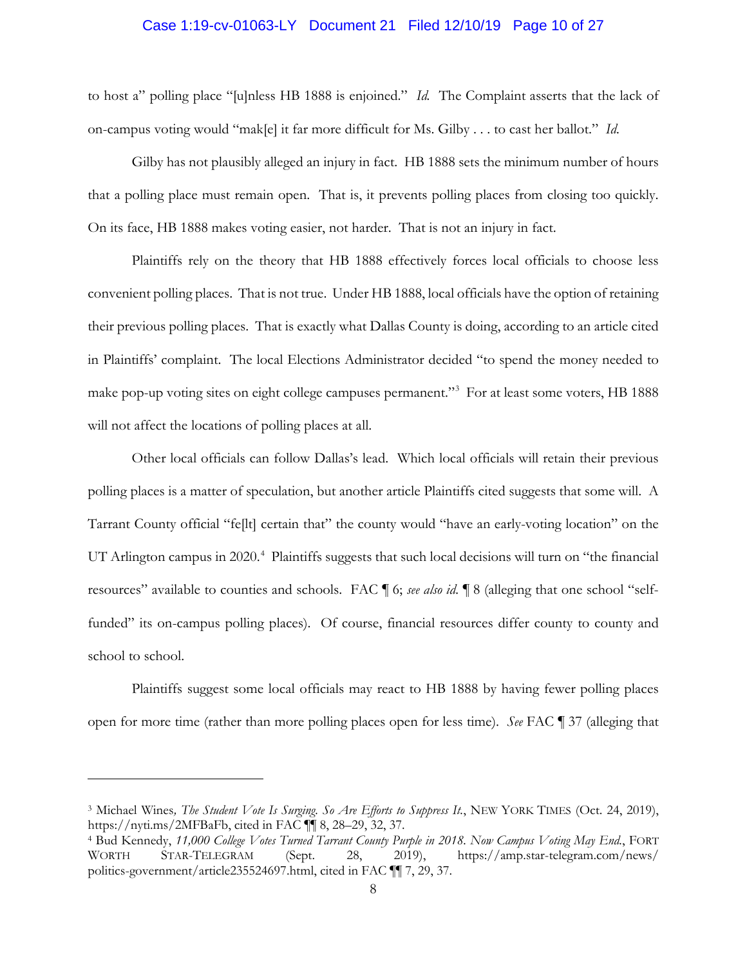#### Case 1:19-cv-01063-LY Document 21 Filed 12/10/19 Page 10 of 27

to host a" polling place "[u]nless HB 1888 is enjoined." *Id.* The Complaint asserts that the lack of on-campus voting would "mak[e] it far more difficult for Ms. Gilby . . . to cast her ballot." *Id.*

Gilby has not plausibly alleged an injury in fact. HB 1888 sets the minimum number of hours that a polling place must remain open. That is, it prevents polling places from closing too quickly. On its face, HB 1888 makes voting easier, not harder. That is not an injury in fact.

Plaintiffs rely on the theory that HB 1888 effectively forces local officials to choose less convenient polling places. That is not true. Under HB 1888, local officials have the option of retaining their previous polling places. That is exactly what Dallas County is doing, according to an article cited in Plaintiffs' complaint. The local Elections Administrator decided "to spend the money needed to make pop-up voting sites on eight college campuses permanent."<sup>3</sup> For at least some voters, HB 1888 will not affect the locations of polling places at all.

Other local officials can follow Dallas's lead. Which local officials will retain their previous polling places is a matter of speculation, but another article Plaintiffs cited suggests that some will. A Tarrant County official "fe[lt] certain that" the county would "have an early-voting location" on the UT Arlington campus in 2020.<sup>4</sup> Plaintiffs suggests that such local decisions will turn on "the financial resources" available to counties and schools. FAC ¶ 6; *see also id.* ¶ 8 (alleging that one school "selffunded" its on-campus polling places). Of course, financial resources differ county to county and school to school.

Plaintiffs suggest some local officials may react to HB 1888 by having fewer polling places open for more time (rather than more polling places open for less time). *See* FAC ¶ 37 (alleging that

 $\overline{a}$ 

<sup>3</sup> Michael Wines*, The Student Vote Is Surging. So Are Efforts to Suppress It.*, NEW YORK TIMES (Oct. 24, 2019), https://nyti.ms/2MFBaFb, cited in FAC ¶¶ 8, 28–29, 32, 37.

<sup>4</sup> Bud Kennedy, *11,000 College Votes Turned Tarrant County Purple in 2018. Now Campus Voting May End.*, FORT WORTH STAR-TELEGRAM (Sept. 28, 2019), https://amp.star-telegram.com/news/ politics-government/article235524697.html, cited in FAC ¶¶ 7, 29, 37.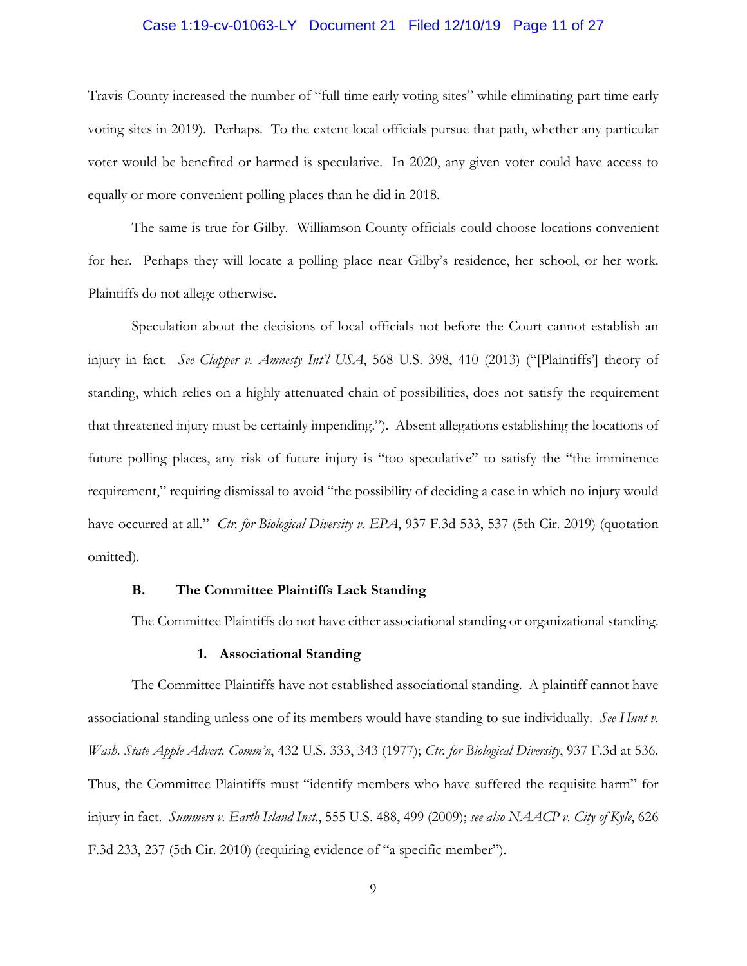#### Case 1:19-cv-01063-LY Document 21 Filed 12/10/19 Page 11 of 27

Travis County increased the number of "full time early voting sites" while eliminating part time early voting sites in 2019). Perhaps. To the extent local officials pursue that path, whether any particular voter would be benefited or harmed is speculative. In 2020, any given voter could have access to equally or more convenient polling places than he did in 2018.

The same is true for Gilby. Williamson County officials could choose locations convenient for her. Perhaps they will locate a polling place near Gilby's residence, her school, or her work. Plaintiffs do not allege otherwise.

Speculation about the decisions of local officials not before the Court cannot establish an injury in fact. *See Clapper v. Amnesty Int'l USA*, 568 U.S. 398, 410 (2013) ("[Plaintiffs'] theory of standing, which relies on a highly attenuated chain of possibilities, does not satisfy the requirement that threatened injury must be certainly impending."). Absent allegations establishing the locations of future polling places, any risk of future injury is "too speculative" to satisfy the "the imminence requirement," requiring dismissal to avoid "the possibility of deciding a case in which no injury would have occurred at all." *Ctr. for Biological Diversity v. EPA*, 937 F.3d 533, 537 (5th Cir. 2019) (quotation omitted).

# **B. The Committee Plaintiffs Lack Standing**

The Committee Plaintiffs do not have either associational standing or organizational standing.

#### **1. Associational Standing**

The Committee Plaintiffs have not established associational standing. A plaintiff cannot have associational standing unless one of its members would have standing to sue individually. *See Hunt v. Wash. State Apple Advert. Comm'n*, 432 U.S. 333, 343 (1977); *Ctr. for Biological Diversity*, 937 F.3d at 536. Thus, the Committee Plaintiffs must "identify members who have suffered the requisite harm" for injury in fact. *Summers v. Earth Island Inst.*, 555 U.S. 488, 499 (2009); *see also NAACP v. City of Kyle*, 626 F.3d 233, 237 (5th Cir. 2010) (requiring evidence of "a specific member").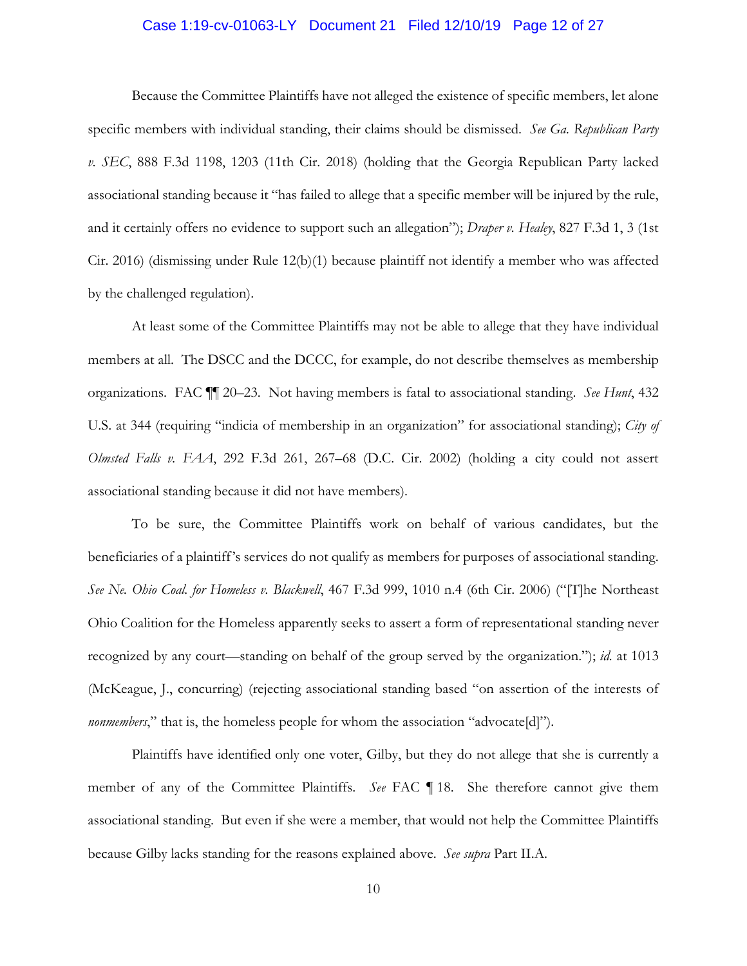#### Case 1:19-cv-01063-LY Document 21 Filed 12/10/19 Page 12 of 27

Because the Committee Plaintiffs have not alleged the existence of specific members, let alone specific members with individual standing, their claims should be dismissed. *See Ga. Republican Party v. SEC*, 888 F.3d 1198, 1203 (11th Cir. 2018) (holding that the Georgia Republican Party lacked associational standing because it "has failed to allege that a specific member will be injured by the rule, and it certainly offers no evidence to support such an allegation"); *Draper v. Healey*, 827 F.3d 1, 3 (1st Cir. 2016) (dismissing under Rule 12(b)(1) because plaintiff not identify a member who was affected by the challenged regulation).

At least some of the Committee Plaintiffs may not be able to allege that they have individual members at all. The DSCC and the DCCC, for example, do not describe themselves as membership organizations. FAC ¶¶ 20–23. Not having members is fatal to associational standing. *See Hunt*, 432 U.S. at 344 (requiring "indicia of membership in an organization" for associational standing); *City of Olmsted Falls v. FAA*, 292 F.3d 261, 267–68 (D.C. Cir. 2002) (holding a city could not assert associational standing because it did not have members).

To be sure, the Committee Plaintiffs work on behalf of various candidates, but the beneficiaries of a plaintiff's services do not qualify as members for purposes of associational standing. *See Ne. Ohio Coal. for Homeless v. Blackwell*, 467 F.3d 999, 1010 n.4 (6th Cir. 2006) ("[T]he Northeast Ohio Coalition for the Homeless apparently seeks to assert a form of representational standing never recognized by any court—standing on behalf of the group served by the organization."); *id.* at 1013 (McKeague, J., concurring) (rejecting associational standing based "on assertion of the interests of *nonmembers*," that is, the homeless people for whom the association "advocate[d]").

Plaintiffs have identified only one voter, Gilby, but they do not allege that she is currently a member of any of the Committee Plaintiffs. *See* FAC ¶ 18. She therefore cannot give them associational standing. But even if she were a member, that would not help the Committee Plaintiffs because Gilby lacks standing for the reasons explained above. *See supra* Part II.A.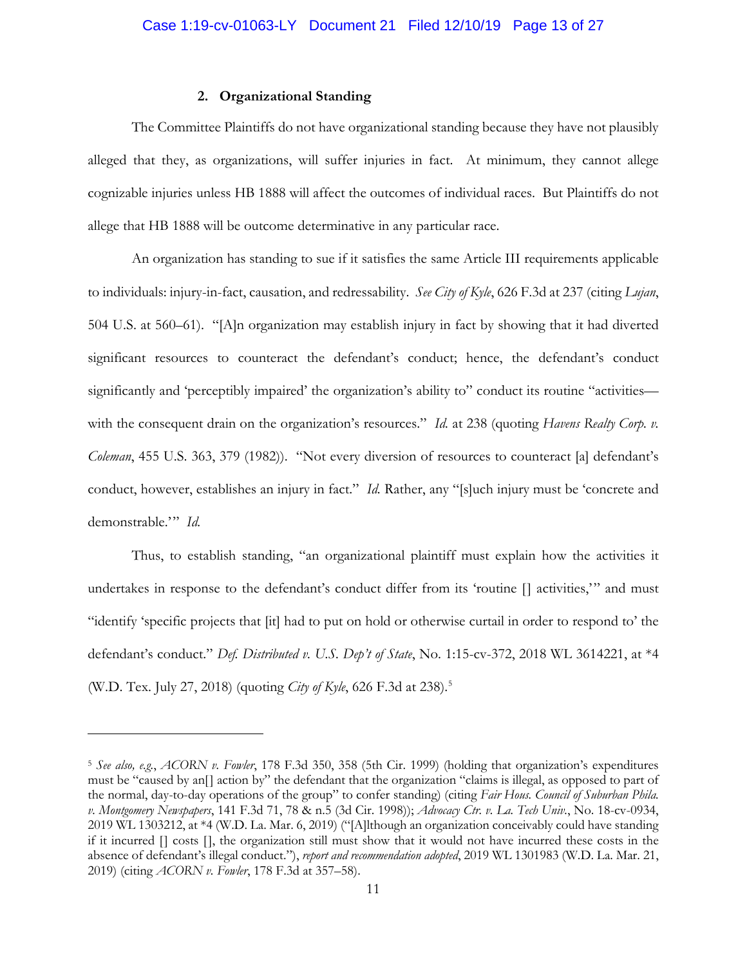# **2. Organizational Standing**

The Committee Plaintiffs do not have organizational standing because they have not plausibly alleged that they, as organizations, will suffer injuries in fact. At minimum, they cannot allege cognizable injuries unless HB 1888 will affect the outcomes of individual races. But Plaintiffs do not allege that HB 1888 will be outcome determinative in any particular race.

An organization has standing to sue if it satisfies the same Article III requirements applicable to individuals: injury-in-fact, causation, and redressability. *See City of Kyle*, 626 F.3d at 237 (citing *Lujan*, 504 U.S. at 560–61). "[A]n organization may establish injury in fact by showing that it had diverted significant resources to counteract the defendant's conduct; hence, the defendant's conduct significantly and 'perceptibly impaired' the organization's ability to" conduct its routine "activities with the consequent drain on the organization's resources." *Id.* at 238 (quoting *Havens Realty Corp. v. Coleman*, 455 U.S. 363, 379 (1982)). "Not every diversion of resources to counteract [a] defendant's conduct, however, establishes an injury in fact." *Id.* Rather, any "[s]uch injury must be 'concrete and demonstrable.'" *Id.*

Thus, to establish standing, "an organizational plaintiff must explain how the activities it undertakes in response to the defendant's conduct differ from its 'routine [] activities,'" and must "identify 'specific projects that [it] had to put on hold or otherwise curtail in order to respond to' the defendant's conduct." *Def. Distributed v. U.S. Dep't of State*, No. 1:15-cv-372, 2018 WL 3614221, at \*4 (W.D. Tex. July 27, 2018) (quoting *City of Kyle*, 626 F.3d at 238). 5

 $\overline{a}$ 

<sup>5</sup> *See also, e.g.*, *ACORN v. Fowler*, 178 F.3d 350, 358 (5th Cir. 1999) (holding that organization's expenditures must be "caused by an[] action by" the defendant that the organization "claims is illegal, as opposed to part of the normal, day-to-day operations of the group" to confer standing) (citing *Fair Hous. Council of Suburban Phila. v. Montgomery Newspapers*, 141 F.3d 71, 78 & n.5 (3d Cir. 1998)); *Advocacy Ctr. v. La. Tech Univ.*, No. 18-cv-0934, 2019 WL 1303212, at \*4 (W.D. La. Mar. 6, 2019) ("[A]lthough an organization conceivably could have standing if it incurred [] costs [], the organization still must show that it would not have incurred these costs in the absence of defendant's illegal conduct."), *report and recommendation adopted*, 2019 WL 1301983 (W.D. La. Mar. 21, 2019) (citing *ACORN v. Fowler*, 178 F.3d at 357–58).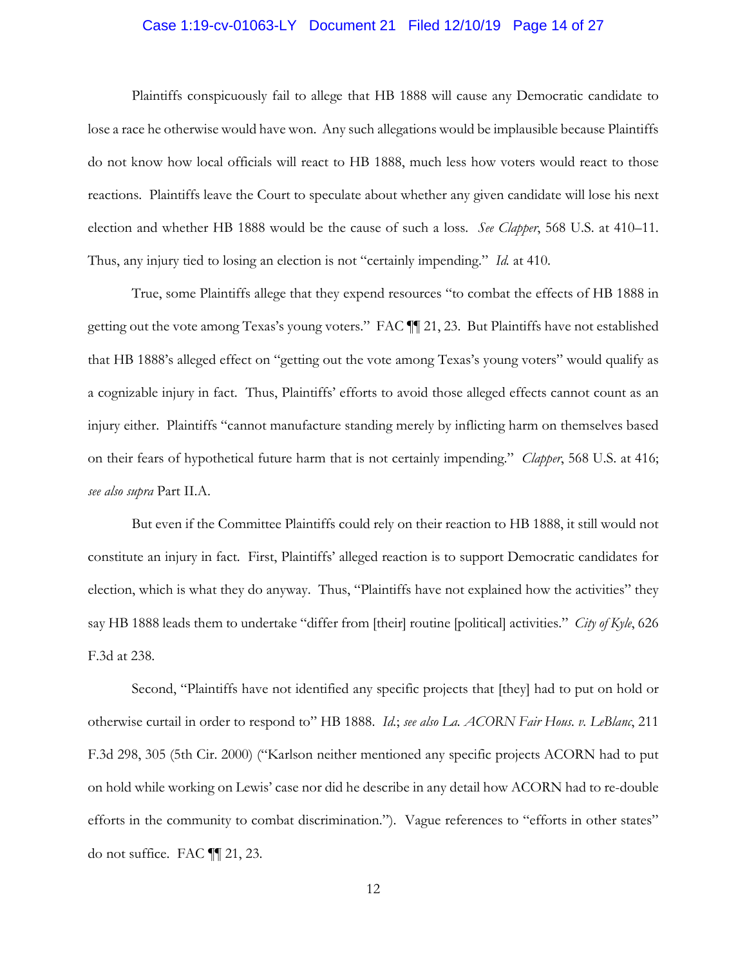#### Case 1:19-cv-01063-LY Document 21 Filed 12/10/19 Page 14 of 27

Plaintiffs conspicuously fail to allege that HB 1888 will cause any Democratic candidate to lose a race he otherwise would have won. Any such allegations would be implausible because Plaintiffs do not know how local officials will react to HB 1888, much less how voters would react to those reactions. Plaintiffs leave the Court to speculate about whether any given candidate will lose his next election and whether HB 1888 would be the cause of such a loss. *See Clapper*, 568 U.S. at 410–11. Thus, any injury tied to losing an election is not "certainly impending." *Id.* at 410.

True, some Plaintiffs allege that they expend resources "to combat the effects of HB 1888 in getting out the vote among Texas's young voters." FAC ¶¶ 21, 23. But Plaintiffs have not established that HB 1888's alleged effect on "getting out the vote among Texas's young voters" would qualify as a cognizable injury in fact. Thus, Plaintiffs' efforts to avoid those alleged effects cannot count as an injury either. Plaintiffs "cannot manufacture standing merely by inflicting harm on themselves based on their fears of hypothetical future harm that is not certainly impending." *Clapper*, 568 U.S. at 416; *see also supra* Part II.A.

But even if the Committee Plaintiffs could rely on their reaction to HB 1888, it still would not constitute an injury in fact. First, Plaintiffs' alleged reaction is to support Democratic candidates for election, which is what they do anyway. Thus, "Plaintiffs have not explained how the activities" they say HB 1888 leads them to undertake "differ from [their] routine [political] activities." *City of Kyle*, 626 F.3d at 238.

Second, "Plaintiffs have not identified any specific projects that [they] had to put on hold or otherwise curtail in order to respond to" HB 1888. *Id.*; *see also La. ACORN Fair Hous. v. LeBlanc*, 211 F.3d 298, 305 (5th Cir. 2000) ("Karlson neither mentioned any specific projects ACORN had to put on hold while working on Lewis' case nor did he describe in any detail how ACORN had to re-double efforts in the community to combat discrimination."). Vague references to "efforts in other states" do not suffice. FAC ¶¶ 21, 23.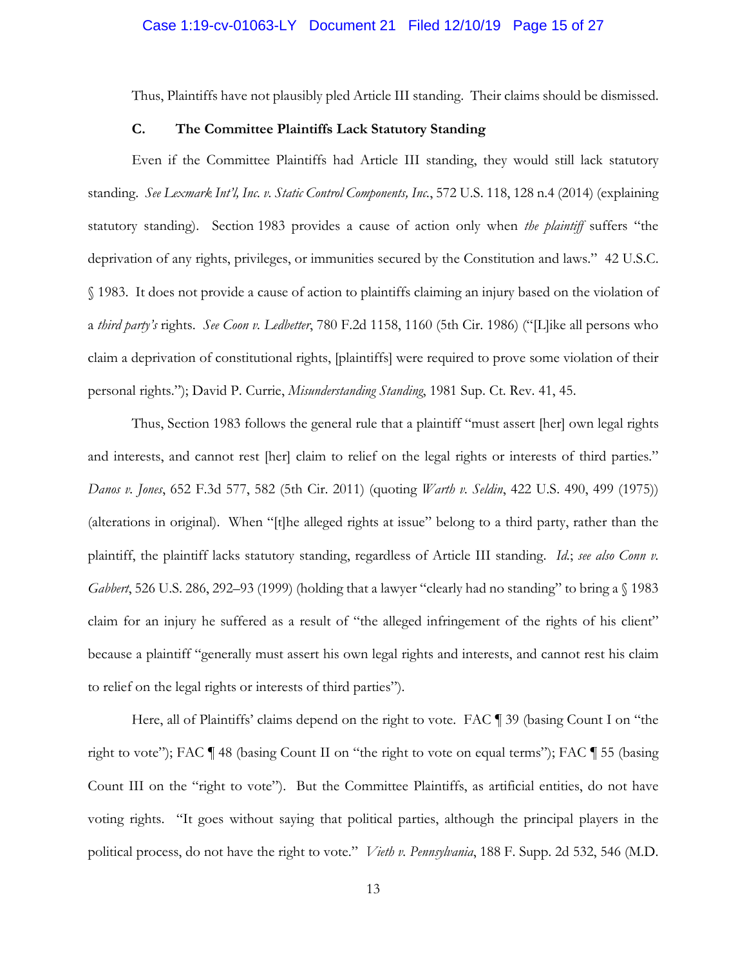Thus, Plaintiffs have not plausibly pled Article III standing. Their claims should be dismissed.

# **C. The Committee Plaintiffs Lack Statutory Standing**

Even if the Committee Plaintiffs had Article III standing, they would still lack statutory standing. *See Lexmark Int'l, Inc. v. Static Control Components, Inc.*, 572 U.S. 118, 128 n.4 (2014) (explaining statutory standing). Section 1983 provides a cause of action only when *the plaintiff* suffers "the deprivation of any rights, privileges, or immunities secured by the Constitution and laws." 42 U.S.C. § 1983. It does not provide a cause of action to plaintiffs claiming an injury based on the violation of a *third party's* rights. *See Coon v. Ledbetter*, 780 F.2d 1158, 1160 (5th Cir. 1986) ("[L]ike all persons who claim a deprivation of constitutional rights, [plaintiffs] were required to prove some violation of their personal rights."); David P. Currie, *Misunderstanding Standing*, 1981 Sup. Ct. Rev. 41, 45.

Thus, Section 1983 follows the general rule that a plaintiff "must assert [her] own legal rights and interests, and cannot rest [her] claim to relief on the legal rights or interests of third parties." *Danos v. Jones*, 652 F.3d 577, 582 (5th Cir. 2011) (quoting *Warth v. Seldin*, 422 U.S. 490, 499 (1975)) (alterations in original). When "[t]he alleged rights at issue" belong to a third party, rather than the plaintiff, the plaintiff lacks statutory standing, regardless of Article III standing. *Id.*; *see also Conn v. Gabbert*, 526 U.S. 286, 292–93 (1999) (holding that a lawyer "clearly had no standing" to bring a § 1983 claim for an injury he suffered as a result of "the alleged infringement of the rights of his client" because a plaintiff "generally must assert his own legal rights and interests, and cannot rest his claim to relief on the legal rights or interests of third parties").

Here, all of Plaintiffs' claims depend on the right to vote. FAC ¶ 39 (basing Count I on "the right to vote"); FAC ¶ 48 (basing Count II on "the right to vote on equal terms"); FAC ¶ 55 (basing Count III on the "right to vote"). But the Committee Plaintiffs, as artificial entities, do not have voting rights. "It goes without saying that political parties, although the principal players in the political process, do not have the right to vote." *Vieth v. Pennsylvania*, 188 F. Supp. 2d 532, 546 (M.D.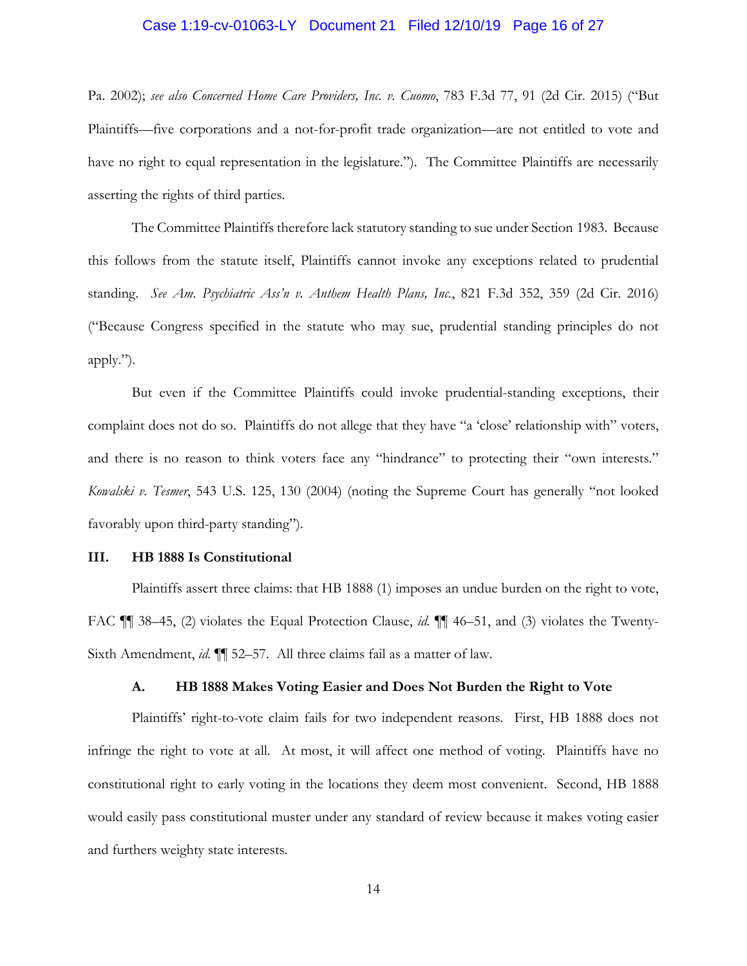#### Case 1:19-cv-01063-LY Document 21 Filed 12/10/19 Page 16 of 27

Pa. 2002); *see also Concerned Home Care Providers, Inc. v. Cuomo*, 783 F.3d 77, 91 (2d Cir. 2015) ("But Plaintiffs—five corporations and a not-for-profit trade organization—are not entitled to vote and have no right to equal representation in the legislature."). The Committee Plaintiffs are necessarily asserting the rights of third parties.

The Committee Plaintiffs therefore lack statutory standing to sue under Section 1983. Because this follows from the statute itself, Plaintiffs cannot invoke any exceptions related to prudential standing. *See Am. Psychiatric Ass'n v. Anthem Health Plans, Inc.*, 821 F.3d 352, 359 (2d Cir. 2016) ("Because Congress specified in the statute who may sue, prudential standing principles do not apply.").

But even if the Committee Plaintiffs could invoke prudential-standing exceptions, their complaint does not do so. Plaintiffs do not allege that they have "a 'close' relationship with" voters, and there is no reason to think voters face any "hindrance" to protecting their "own interests." *Kowalski v. Tesmer*, 543 U.S. 125, 130 (2004) (noting the Supreme Court has generally "not looked favorably upon third-party standing").

#### **III. HB 1888 Is Constitutional**

Plaintiffs assert three claims: that HB 1888 (1) imposes an undue burden on the right to vote, FAC ¶¶ 38–45, (2) violates the Equal Protection Clause, *id.* ¶¶ 46–51, and (3) violates the Twenty-Sixth Amendment, *id.* ¶¶ 52–57. All three claims fail as a matter of law.

# **A. HB 1888 Makes Voting Easier and Does Not Burden the Right to Vote**

Plaintiffs' right-to-vote claim fails for two independent reasons. First, HB 1888 does not infringe the right to vote at all. At most, it will affect one method of voting. Plaintiffs have no constitutional right to early voting in the locations they deem most convenient. Second, HB 1888 would easily pass constitutional muster under any standard of review because it makes voting easier and furthers weighty state interests.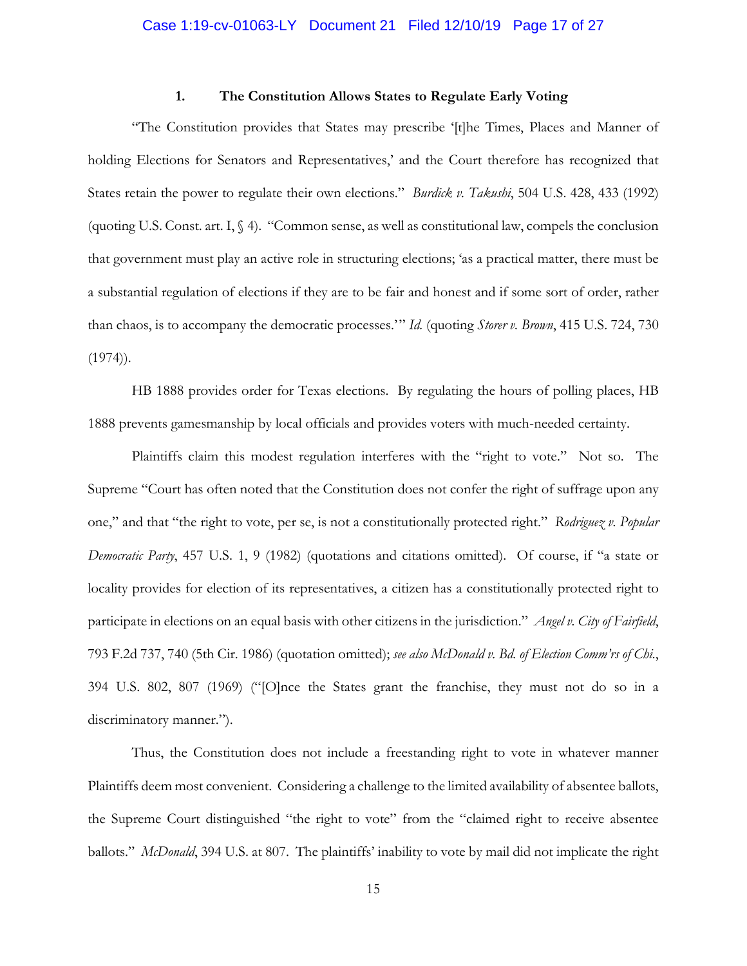## **1. The Constitution Allows States to Regulate Early Voting**

"The Constitution provides that States may prescribe '[t]he Times, Places and Manner of holding Elections for Senators and Representatives,' and the Court therefore has recognized that States retain the power to regulate their own elections." *Burdick v. Takushi*, 504 U.S. 428, 433 (1992) (quoting U.S. Const. art. I,  $\Diamond$  4). "Common sense, as well as constitutional law, compels the conclusion that government must play an active role in structuring elections; 'as a practical matter, there must be a substantial regulation of elections if they are to be fair and honest and if some sort of order, rather than chaos, is to accompany the democratic processes.'" *Id.* (quoting *Storer v. Brown*, 415 U.S. 724, 730  $(1974)$ .

HB 1888 provides order for Texas elections. By regulating the hours of polling places, HB 1888 prevents gamesmanship by local officials and provides voters with much-needed certainty.

Plaintiffs claim this modest regulation interferes with the "right to vote." Not so. The Supreme "Court has often noted that the Constitution does not confer the right of suffrage upon any one," and that "the right to vote, per se, is not a constitutionally protected right." *Rodriguez v. Popular Democratic Party*, 457 U.S. 1, 9 (1982) (quotations and citations omitted). Of course, if "a state or locality provides for election of its representatives, a citizen has a constitutionally protected right to participate in elections on an equal basis with other citizens in the jurisdiction." *Angel v. City of Fairfield*, 793 F.2d 737, 740 (5th Cir. 1986) (quotation omitted); *see also McDonald v. Bd. of Election Comm'rs of Chi.*, 394 U.S. 802, 807 (1969) ("[O]nce the States grant the franchise, they must not do so in a discriminatory manner.").

Thus, the Constitution does not include a freestanding right to vote in whatever manner Plaintiffs deem most convenient. Considering a challenge to the limited availability of absentee ballots, the Supreme Court distinguished "the right to vote" from the "claimed right to receive absentee ballots." *McDonald*, 394 U.S. at 807. The plaintiffs' inability to vote by mail did not implicate the right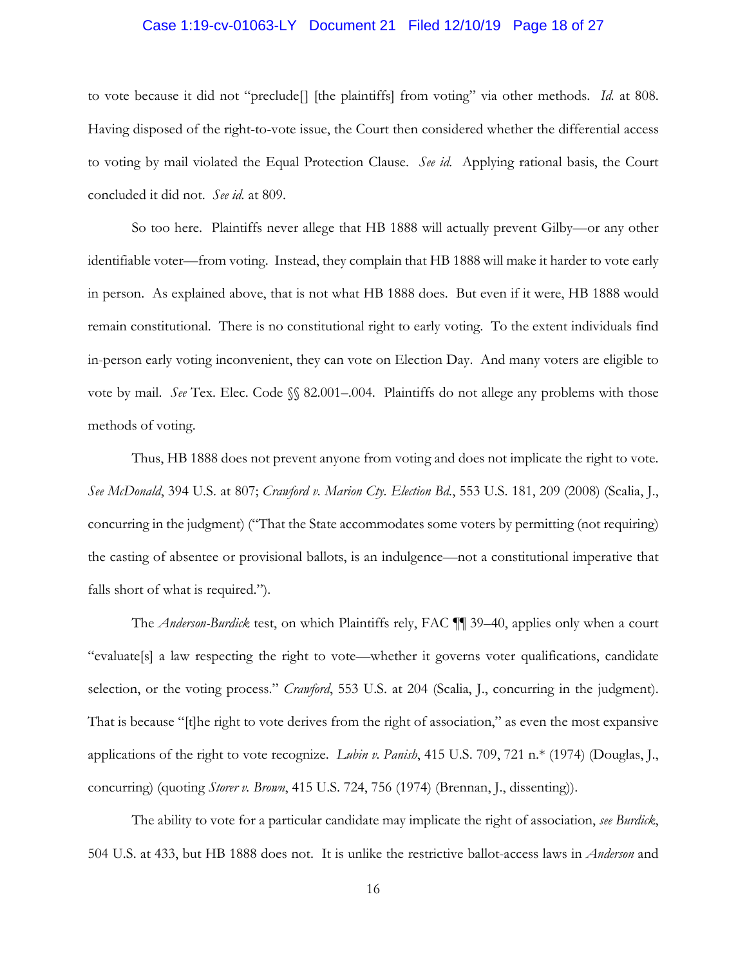#### Case 1:19-cv-01063-LY Document 21 Filed 12/10/19 Page 18 of 27

to vote because it did not "preclude[] [the plaintiffs] from voting" via other methods. *Id.* at 808. Having disposed of the right-to-vote issue, the Court then considered whether the differential access to voting by mail violated the Equal Protection Clause. *See id.* Applying rational basis, the Court concluded it did not. *See id.* at 809.

So too here. Plaintiffs never allege that HB 1888 will actually prevent Gilby—or any other identifiable voter—from voting. Instead, they complain that HB 1888 will make it harder to vote early in person. As explained above, that is not what HB 1888 does. But even if it were, HB 1888 would remain constitutional. There is no constitutional right to early voting. To the extent individuals find in-person early voting inconvenient, they can vote on Election Day. And many voters are eligible to vote by mail. *See* Tex. Elec. Code §§ 82.001–.004. Plaintiffs do not allege any problems with those methods of voting.

Thus, HB 1888 does not prevent anyone from voting and does not implicate the right to vote. *See McDonald*, 394 U.S. at 807; *Crawford v. Marion Cty. Election Bd.*, 553 U.S. 181, 209 (2008) (Scalia, J., concurring in the judgment) ("That the State accommodates some voters by permitting (not requiring) the casting of absentee or provisional ballots, is an indulgence—not a constitutional imperative that falls short of what is required.").

The *Anderson-Burdick* test, on which Plaintiffs rely, FAC ¶¶ 39–40, applies only when a court "evaluate[s] a law respecting the right to vote—whether it governs voter qualifications, candidate selection, or the voting process." *Crawford*, 553 U.S. at 204 (Scalia, J., concurring in the judgment). That is because "[t]he right to vote derives from the right of association," as even the most expansive applications of the right to vote recognize. *Lubin v. Panish*, 415 U.S. 709, 721 n.\* (1974) (Douglas, J., concurring) (quoting *Storer v. Brown*, 415 U.S. 724, 756 (1974) (Brennan, J., dissenting)).

The ability to vote for a particular candidate may implicate the right of association, *see Burdick*, 504 U.S. at 433, but HB 1888 does not. It is unlike the restrictive ballot-access laws in *Anderson* and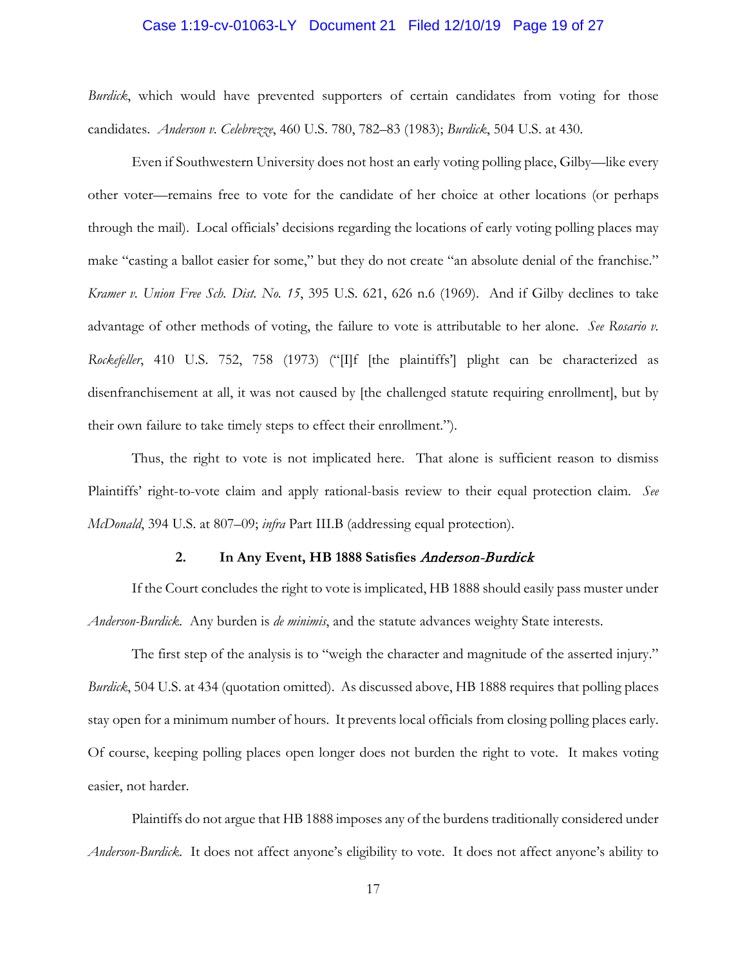#### Case 1:19-cv-01063-LY Document 21 Filed 12/10/19 Page 19 of 27

*Burdick*, which would have prevented supporters of certain candidates from voting for those candidates. *Anderson v. Celebrezze*, 460 U.S. 780, 782–83 (1983); *Burdick*, 504 U.S. at 430.

Even if Southwestern University does not host an early voting polling place, Gilby—like every other voter—remains free to vote for the candidate of her choice at other locations (or perhaps through the mail). Local officials' decisions regarding the locations of early voting polling places may make "casting a ballot easier for some," but they do not create "an absolute denial of the franchise." *Kramer v. Union Free Sch. Dist. No. 15*, 395 U.S. 621, 626 n.6 (1969). And if Gilby declines to take advantage of other methods of voting, the failure to vote is attributable to her alone. *See Rosario v. Rockefeller*, 410 U.S. 752, 758 (1973) ("[I]f [the plaintiffs'] plight can be characterized as disenfranchisement at all, it was not caused by [the challenged statute requiring enrollment], but by their own failure to take timely steps to effect their enrollment.").

Thus, the right to vote is not implicated here. That alone is sufficient reason to dismiss Plaintiffs' right-to-vote claim and apply rational-basis review to their equal protection claim. *See McDonald*, 394 U.S. at 807–09; *infra* Part III.B (addressing equal protection).

## **2. In Any Event, HB 1888 Satisfies** Anderson-Burdick

If the Court concludes the right to vote is implicated, HB 1888 should easily pass muster under *Anderson-Burdick*. Any burden is *de minimis*, and the statute advances weighty State interests.

The first step of the analysis is to "weigh the character and magnitude of the asserted injury." *Burdick*, 504 U.S. at 434 (quotation omitted). As discussed above, HB 1888 requires that polling places stay open for a minimum number of hours. It prevents local officials from closing polling places early. Of course, keeping polling places open longer does not burden the right to vote. It makes voting easier, not harder.

Plaintiffs do not argue that HB 1888 imposes any of the burdens traditionally considered under *Anderson-Burdick*. It does not affect anyone's eligibility to vote. It does not affect anyone's ability to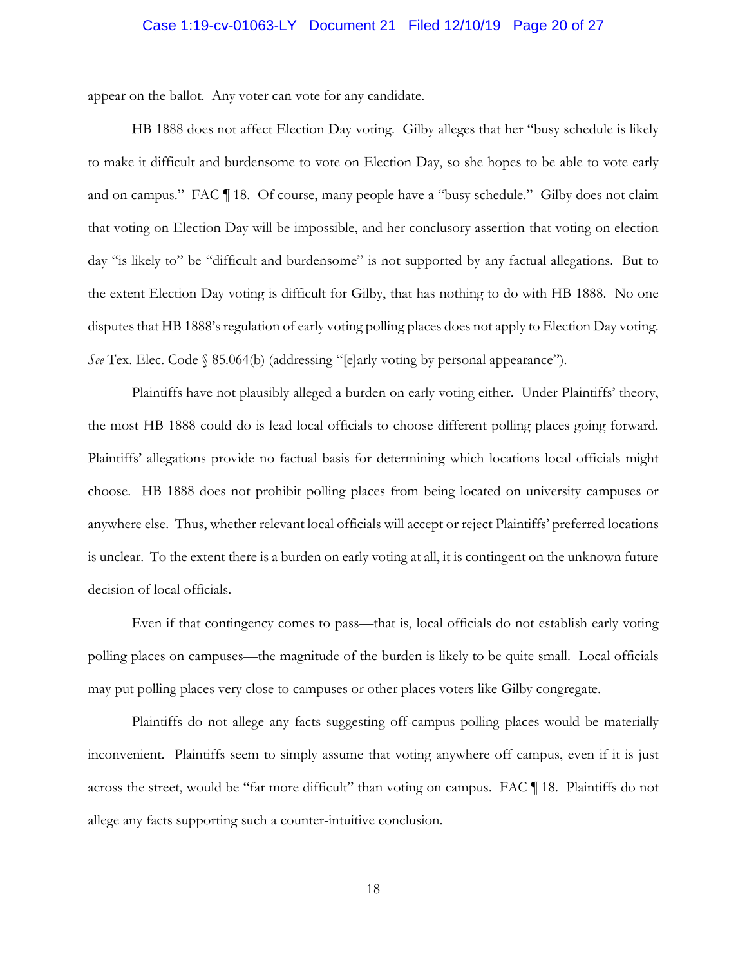#### Case 1:19-cv-01063-LY Document 21 Filed 12/10/19 Page 20 of 27

appear on the ballot. Any voter can vote for any candidate.

HB 1888 does not affect Election Day voting. Gilby alleges that her "busy schedule is likely to make it difficult and burdensome to vote on Election Day, so she hopes to be able to vote early and on campus." FAC ¶ 18. Of course, many people have a "busy schedule." Gilby does not claim that voting on Election Day will be impossible, and her conclusory assertion that voting on election day "is likely to" be "difficult and burdensome" is not supported by any factual allegations. But to the extent Election Day voting is difficult for Gilby, that has nothing to do with HB 1888. No one disputes that HB 1888's regulation of early voting polling places does not apply to Election Day voting. *See* Tex. Elec. Code § 85.064(b) (addressing "[e]arly voting by personal appearance").

Plaintiffs have not plausibly alleged a burden on early voting either. Under Plaintiffs' theory, the most HB 1888 could do is lead local officials to choose different polling places going forward. Plaintiffs' allegations provide no factual basis for determining which locations local officials might choose. HB 1888 does not prohibit polling places from being located on university campuses or anywhere else. Thus, whether relevant local officials will accept or reject Plaintiffs' preferred locations is unclear. To the extent there is a burden on early voting at all, it is contingent on the unknown future decision of local officials.

Even if that contingency comes to pass—that is, local officials do not establish early voting polling places on campuses—the magnitude of the burden is likely to be quite small. Local officials may put polling places very close to campuses or other places voters like Gilby congregate.

Plaintiffs do not allege any facts suggesting off-campus polling places would be materially inconvenient. Plaintiffs seem to simply assume that voting anywhere off campus, even if it is just across the street, would be "far more difficult" than voting on campus. FAC ¶ 18. Plaintiffs do not allege any facts supporting such a counter-intuitive conclusion.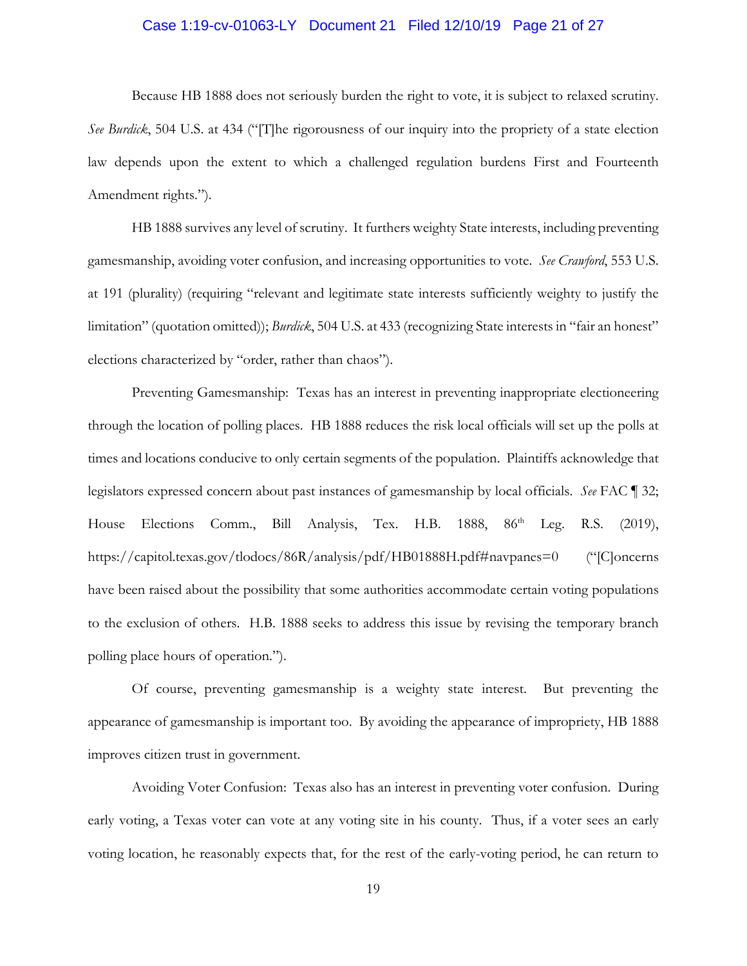#### Case 1:19-cv-01063-LY Document 21 Filed 12/10/19 Page 21 of 27

Because HB 1888 does not seriously burden the right to vote, it is subject to relaxed scrutiny. *See Burdick*, 504 U.S. at 434 ("[T]he rigorousness of our inquiry into the propriety of a state election law depends upon the extent to which a challenged regulation burdens First and Fourteenth Amendment rights.").

HB 1888 survives any level of scrutiny. It furthers weighty State interests, including preventing gamesmanship, avoiding voter confusion, and increasing opportunities to vote. *See Crawford*, 553 U.S. at 191 (plurality) (requiring "relevant and legitimate state interests sufficiently weighty to justify the limitation" (quotation omitted)); *Burdick*, 504 U.S. at 433 (recognizing State interests in "fair an honest" elections characterized by "order, rather than chaos").

Preventing Gamesmanship: Texas has an interest in preventing inappropriate electioneering through the location of polling places. HB 1888 reduces the risk local officials will set up the polls at times and locations conducive to only certain segments of the population. Plaintiffs acknowledge that legislators expressed concern about past instances of gamesmanship by local officials. *See* FAC ¶ 32; House Elections Comm., Bill Analysis, Tex. H.B. 1888, 86<sup>th</sup> Leg. R.S. (2019), https://capitol.texas.gov/tlodocs/86R/analysis/pdf/HB01888H.pdf#navpanes=0 ("[C]oncerns have been raised about the possibility that some authorities accommodate certain voting populations to the exclusion of others. H.B. 1888 seeks to address this issue by revising the temporary branch polling place hours of operation.").

Of course, preventing gamesmanship is a weighty state interest. But preventing the appearance of gamesmanship is important too. By avoiding the appearance of impropriety, HB 1888 improves citizen trust in government.

Avoiding Voter Confusion: Texas also has an interest in preventing voter confusion. During early voting, a Texas voter can vote at any voting site in his county. Thus, if a voter sees an early voting location, he reasonably expects that, for the rest of the early-voting period, he can return to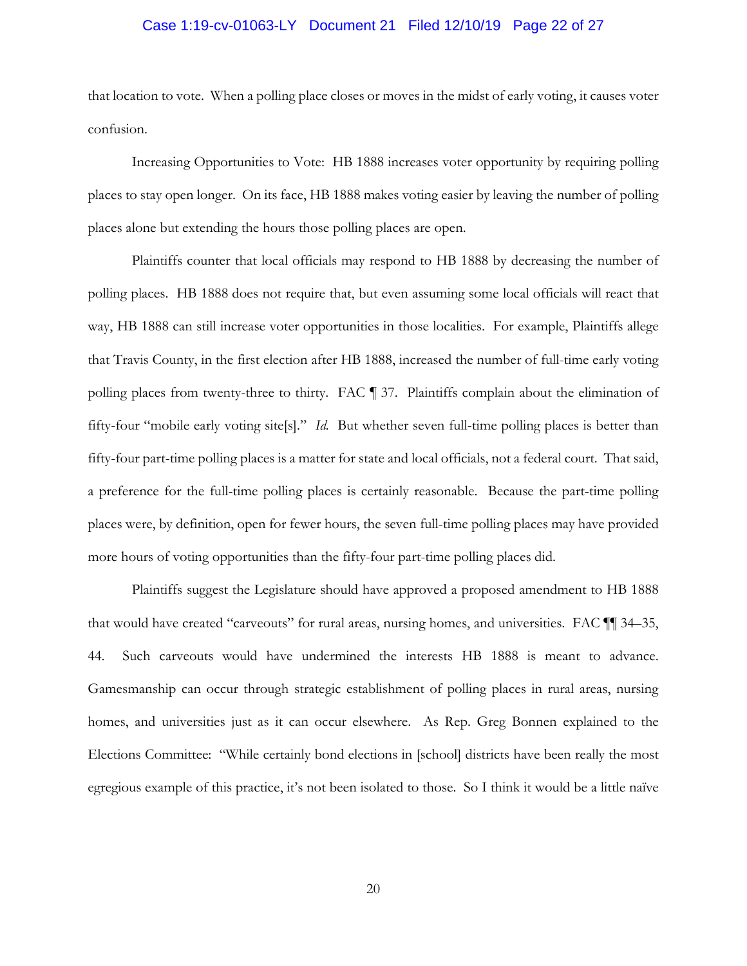# Case 1:19-cv-01063-LY Document 21 Filed 12/10/19 Page 22 of 27

that location to vote. When a polling place closes or moves in the midst of early voting, it causes voter confusion.

Increasing Opportunities to Vote: HB 1888 increases voter opportunity by requiring polling places to stay open longer. On its face, HB 1888 makes voting easier by leaving the number of polling places alone but extending the hours those polling places are open.

Plaintiffs counter that local officials may respond to HB 1888 by decreasing the number of polling places. HB 1888 does not require that, but even assuming some local officials will react that way, HB 1888 can still increase voter opportunities in those localities. For example, Plaintiffs allege that Travis County, in the first election after HB 1888, increased the number of full-time early voting polling places from twenty-three to thirty. FAC ¶ 37. Plaintiffs complain about the elimination of fifty-four "mobile early voting site[s]." *Id.* But whether seven full-time polling places is better than fifty-four part-time polling places is a matter for state and local officials, not a federal court. That said, a preference for the full-time polling places is certainly reasonable. Because the part-time polling places were, by definition, open for fewer hours, the seven full-time polling places may have provided more hours of voting opportunities than the fifty-four part-time polling places did.

Plaintiffs suggest the Legislature should have approved a proposed amendment to HB 1888 that would have created "carveouts" for rural areas, nursing homes, and universities. FAC ¶¶ 34–35, 44. Such carveouts would have undermined the interests HB 1888 is meant to advance. Gamesmanship can occur through strategic establishment of polling places in rural areas, nursing homes, and universities just as it can occur elsewhere. As Rep. Greg Bonnen explained to the Elections Committee: "While certainly bond elections in [school] districts have been really the most egregious example of this practice, it's not been isolated to those. So I think it would be a little naïve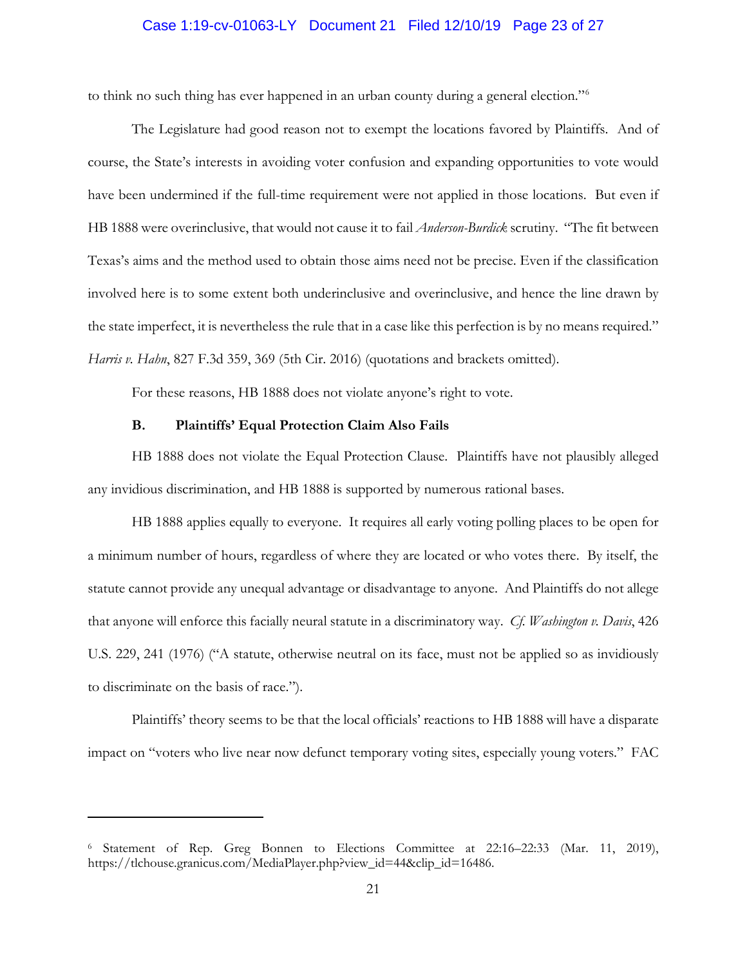# Case 1:19-cv-01063-LY Document 21 Filed 12/10/19 Page 23 of 27

to think no such thing has ever happened in an urban county during a general election."6

The Legislature had good reason not to exempt the locations favored by Plaintiffs. And of course, the State's interests in avoiding voter confusion and expanding opportunities to vote would have been undermined if the full-time requirement were not applied in those locations. But even if HB 1888 were overinclusive, that would not cause it to fail *Anderson-Burdick* scrutiny. "The fit between Texas's aims and the method used to obtain those aims need not be precise. Even if the classification involved here is to some extent both underinclusive and overinclusive, and hence the line drawn by the state imperfect, it is nevertheless the rule that in a case like this perfection is by no means required." *Harris v. Hahn*, 827 F.3d 359, 369 (5th Cir. 2016) (quotations and brackets omitted).

For these reasons, HB 1888 does not violate anyone's right to vote.

# **B. Plaintiffs' Equal Protection Claim Also Fails**

 $\overline{a}$ 

HB 1888 does not violate the Equal Protection Clause. Plaintiffs have not plausibly alleged any invidious discrimination, and HB 1888 is supported by numerous rational bases.

HB 1888 applies equally to everyone. It requires all early voting polling places to be open for a minimum number of hours, regardless of where they are located or who votes there. By itself, the statute cannot provide any unequal advantage or disadvantage to anyone. And Plaintiffs do not allege that anyone will enforce this facially neural statute in a discriminatory way. *Cf. Washington v. Davis*, 426 U.S. 229, 241 (1976) ("A statute, otherwise neutral on its face, must not be applied so as invidiously to discriminate on the basis of race.").

Plaintiffs' theory seems to be that the local officials' reactions to HB 1888 will have a disparate impact on "voters who live near now defunct temporary voting sites, especially young voters." FAC

<sup>6</sup> Statement of Rep. Greg Bonnen to Elections Committee at 22:16–22:33 (Mar. 11, 2019), https://tlchouse.granicus.com/MediaPlayer.php?view\_id=44&clip\_id=16486.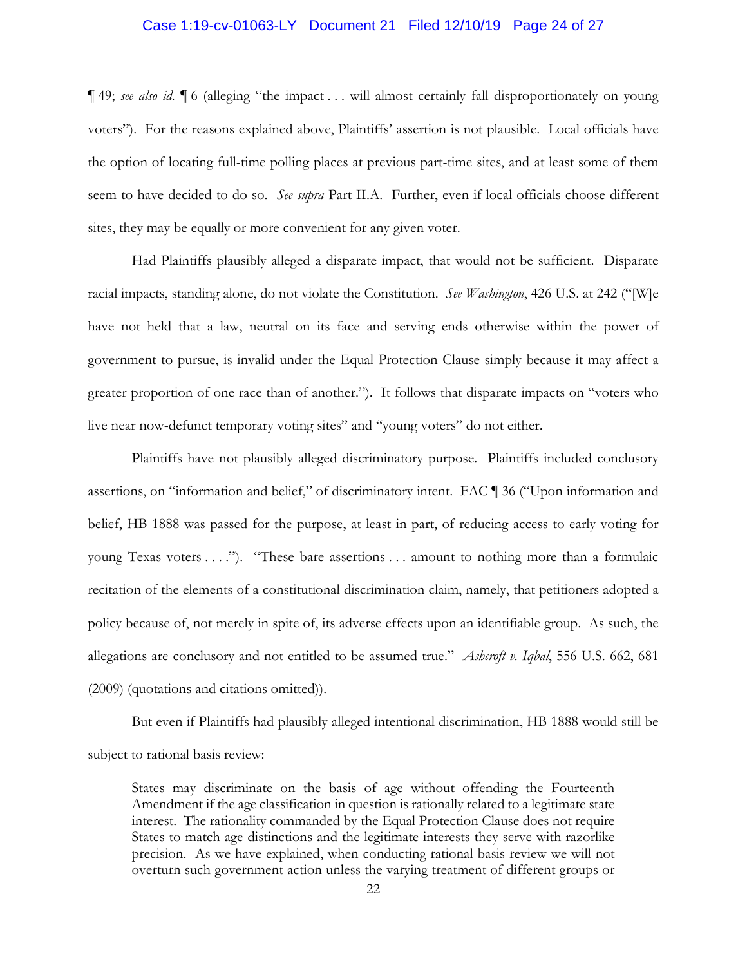#### Case 1:19-cv-01063-LY Document 21 Filed 12/10/19 Page 24 of 27

¶ 49; *see also id.* ¶ 6 (alleging "the impact . . . will almost certainly fall disproportionately on young voters"). For the reasons explained above, Plaintiffs' assertion is not plausible. Local officials have the option of locating full-time polling places at previous part-time sites, and at least some of them seem to have decided to do so. *See supra* Part II.A. Further, even if local officials choose different sites, they may be equally or more convenient for any given voter.

Had Plaintiffs plausibly alleged a disparate impact, that would not be sufficient. Disparate racial impacts, standing alone, do not violate the Constitution. *See Washington*, 426 U.S. at 242 ("[W]e have not held that a law, neutral on its face and serving ends otherwise within the power of government to pursue, is invalid under the Equal Protection Clause simply because it may affect a greater proportion of one race than of another."). It follows that disparate impacts on "voters who live near now-defunct temporary voting sites" and "young voters" do not either.

Plaintiffs have not plausibly alleged discriminatory purpose. Plaintiffs included conclusory assertions, on "information and belief," of discriminatory intent. FAC ¶ 36 ("Upon information and belief, HB 1888 was passed for the purpose, at least in part, of reducing access to early voting for young Texas voters . . . ."). "These bare assertions . . . amount to nothing more than a formulaic recitation of the elements of a constitutional discrimination claim, namely, that petitioners adopted a policy because of, not merely in spite of, its adverse effects upon an identifiable group. As such, the allegations are conclusory and not entitled to be assumed true." *Ashcroft v. Iqbal*, 556 U.S. 662, 681 (2009) (quotations and citations omitted)).

But even if Plaintiffs had plausibly alleged intentional discrimination, HB 1888 would still be subject to rational basis review:

States may discriminate on the basis of age without offending the Fourteenth Amendment if the age classification in question is rationally related to a legitimate state interest. The rationality commanded by the Equal Protection Clause does not require States to match age distinctions and the legitimate interests they serve with razorlike precision. As we have explained, when conducting rational basis review we will not overturn such government action unless the varying treatment of different groups or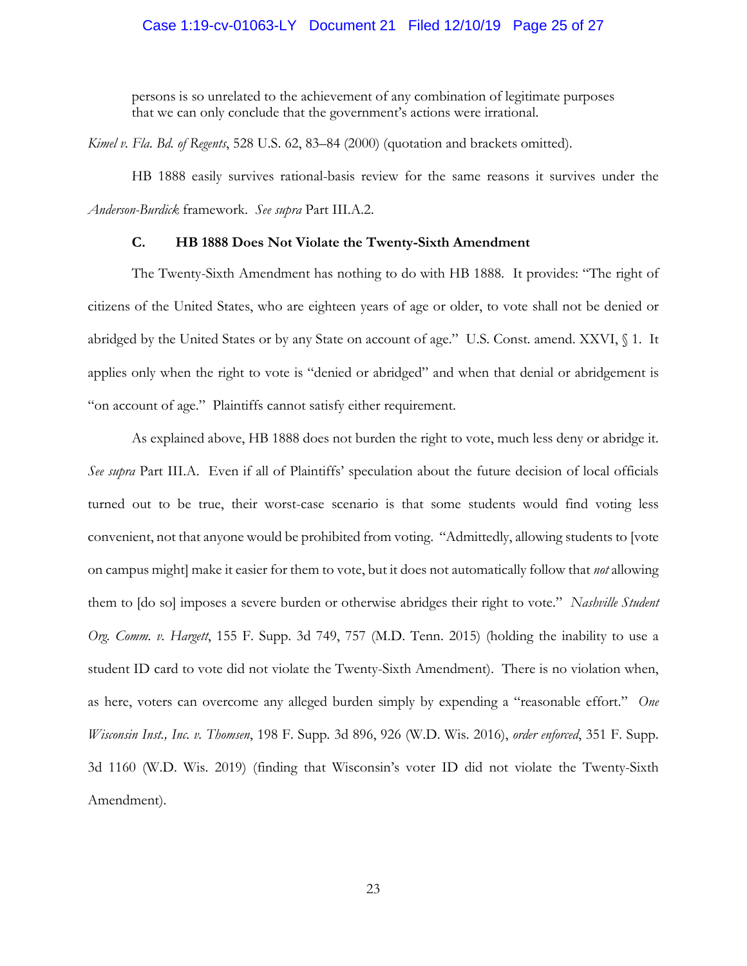# Case 1:19-cv-01063-LY Document 21 Filed 12/10/19 Page 25 of 27

persons is so unrelated to the achievement of any combination of legitimate purposes that we can only conclude that the government's actions were irrational.

*Kimel v. Fla. Bd. of Regents*, 528 U.S. 62, 83–84 (2000) (quotation and brackets omitted).

HB 1888 easily survives rational-basis review for the same reasons it survives under the *Anderson-Burdick* framework. *See supra* Part III.A.2.

# **C. HB 1888 Does Not Violate the Twenty-Sixth Amendment**

The Twenty-Sixth Amendment has nothing to do with HB 1888. It provides: "The right of citizens of the United States, who are eighteen years of age or older, to vote shall not be denied or abridged by the United States or by any State on account of age." U.S. Const. amend. XXVI, § 1. It applies only when the right to vote is "denied or abridged" and when that denial or abridgement is "on account of age." Plaintiffs cannot satisfy either requirement.

As explained above, HB 1888 does not burden the right to vote, much less deny or abridge it. *See supra* Part III.A. Even if all of Plaintiffs' speculation about the future decision of local officials turned out to be true, their worst-case scenario is that some students would find voting less convenient, not that anyone would be prohibited from voting. "Admittedly, allowing students to [vote on campus might] make it easier for them to vote, but it does not automatically follow that *not* allowing them to [do so] imposes a severe burden or otherwise abridges their right to vote." *Nashville Student Org. Comm. v. Hargett*, 155 F. Supp. 3d 749, 757 (M.D. Tenn. 2015) (holding the inability to use a student ID card to vote did not violate the Twenty-Sixth Amendment). There is no violation when, as here, voters can overcome any alleged burden simply by expending a "reasonable effort." *One Wisconsin Inst., Inc. v. Thomsen*, 198 F. Supp. 3d 896, 926 (W.D. Wis. 2016), *order enforced*, 351 F. Supp. 3d 1160 (W.D. Wis. 2019) (finding that Wisconsin's voter ID did not violate the Twenty-Sixth Amendment).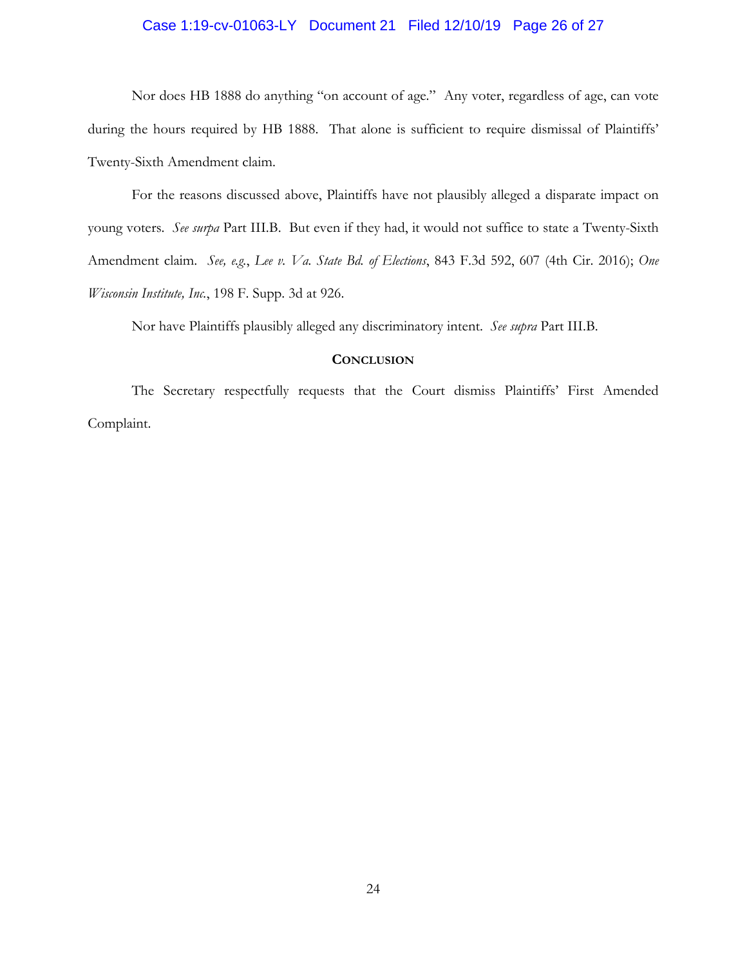# Case 1:19-cv-01063-LY Document 21 Filed 12/10/19 Page 26 of 27

Nor does HB 1888 do anything "on account of age." Any voter, regardless of age, can vote during the hours required by HB 1888. That alone is sufficient to require dismissal of Plaintiffs' Twenty-Sixth Amendment claim.

For the reasons discussed above, Plaintiffs have not plausibly alleged a disparate impact on young voters. *See surpa* Part III.B. But even if they had, it would not suffice to state a Twenty-Sixth Amendment claim. *See, e.g.*, *Lee v. Va. State Bd. of Elections*, 843 F.3d 592, 607 (4th Cir. 2016); *One Wisconsin Institute, Inc.*, 198 F. Supp. 3d at 926.

Nor have Plaintiffs plausibly alleged any discriminatory intent. *See supra* Part III.B.

# **CONCLUSION**

The Secretary respectfully requests that the Court dismiss Plaintiffs' First Amended Complaint.